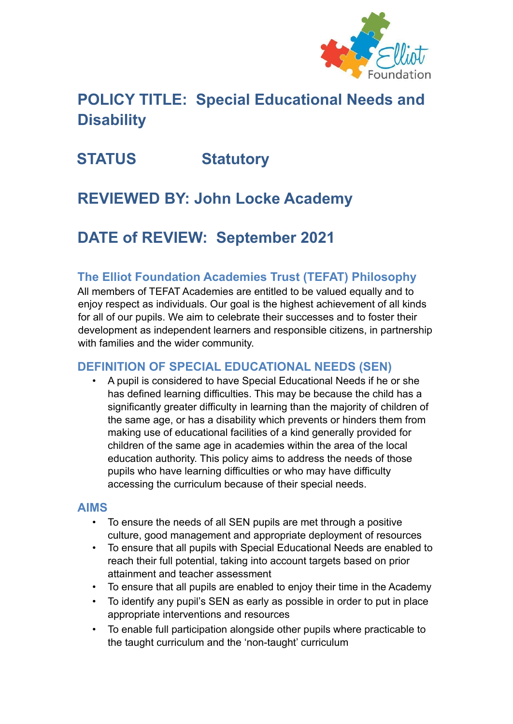

# **POLICY TITLE: Special Educational Needs and Disability**

# **STATUS Statutory**

# **REVIEWED BY: John Locke Academy**

# **DATE of REVIEW: September 2021**

### **The Elliot Foundation Academies Trust (TEFAT) Philosophy**

All members of TEFAT Academies are entitled to be valued equally and to enjoy respect as individuals. Our goal is the highest achievement of all kinds for all of our pupils. We aim to celebrate their successes and to foster their development as independent learners and responsible citizens, in partnership with families and the wider community.

### **DEFINITION OF SPECIAL EDUCATIONAL NEEDS (SEN)**

• A pupil is considered to have Special Educational Needs if he or she has defined learning difficulties. This may be because the child has a significantly greater difficulty in learning than the majority of children of the same age, or has a disability which prevents or hinders them from making use of educational facilities of a kind generally provided for children of the same age in academies within the area of the local education authority. This policy aims to address the needs of those pupils who have learning difficulties or who may have difficulty accessing the curriculum because of their special needs.

#### **AIMS**

- To ensure the needs of all SEN pupils are met through a positive culture, good management and appropriate deployment of resources
- To ensure that all pupils with Special Educational Needs are enabled to reach their full potential, taking into account targets based on prior attainment and teacher assessment
- To ensure that all pupils are enabled to enjoy their time in the Academy
- To identify any pupil's SEN as early as possible in order to put in place appropriate interventions and resources
- To enable full participation alongside other pupils where practicable to the taught curriculum and the 'non-taught' curriculum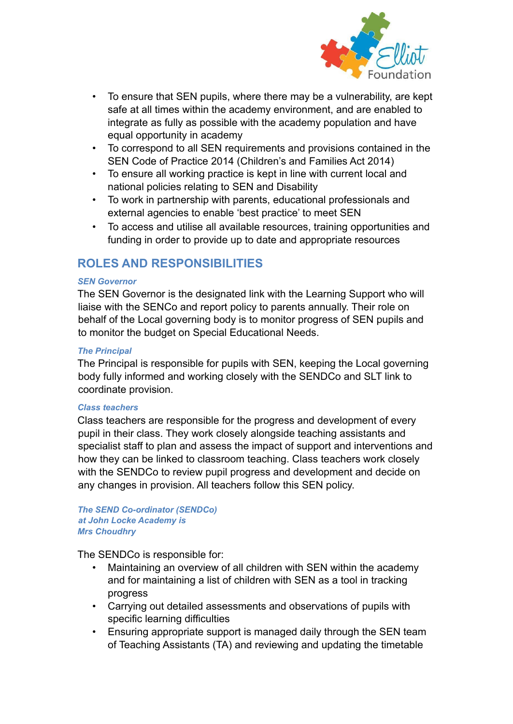

- To ensure that SEN pupils, where there may be a vulnerability, are kept safe at all times within the academy environment, and are enabled to integrate as fully as possible with the academy population and have equal opportunity in academy
- To correspond to all SEN requirements and provisions contained in the SEN Code of Practice 2014 (Children's and Families Act 2014)
- To ensure all working practice is kept in line with current local and national policies relating to SEN and Disability
- To work in partnership with parents, educational professionals and external agencies to enable 'best practice' to meet SEN
- To access and utilise all available resources, training opportunities and funding in order to provide up to date and appropriate resources

### **ROLES AND RESPONSIBILITIES**

#### *SEN Governor*

The SEN Governor is the designated link with the Learning Support who will liaise with the SENCo and report policy to parents annually. Their role on behalf of the Local governing body is to monitor progress of SEN pupils and to monitor the budget on Special Educational Needs.

#### *The Principal*

The Principal is responsible for pupils with SEN, keeping the Local governing body fully informed and working closely with the SENDCo and SLT link to coordinate provision.

#### *Class teachers*

Class teachers are responsible for the progress and development of every pupil in their class. They work closely alongside teaching assistants and specialist staff to plan and assess the impact of support and interventions and how they can be linked to classroom teaching. Class teachers work closely with the SENDCo to review pupil progress and development and decide on any changes in provision. All teachers follow this SEN policy.

#### *The SEND Co-ordinator (SENDCo) at John Locke Academy is Mrs Choudhry*

The SENDCo is responsible for:

- Maintaining an overview of all children with SEN within the academy and for maintaining a list of children with SEN as a tool in tracking progress
- Carrying out detailed assessments and observations of pupils with specific learning difficulties
- Ensuring appropriate support is managed daily through the SEN team of Teaching Assistants (TA) and reviewing and updating the timetable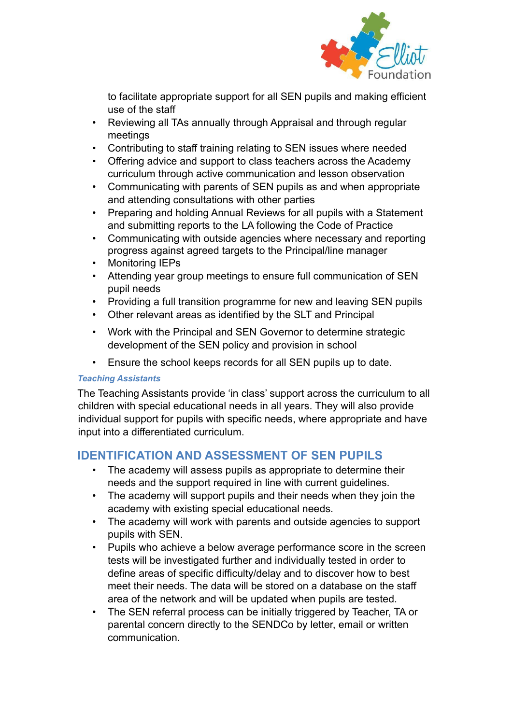

to facilitate appropriate support for all SEN pupils and making efficient use of the staff

- Reviewing all TAs annually through Appraisal and through regular meetings
- Contributing to staff training relating to SEN issues where needed
- Offering advice and support to class teachers across the Academy curriculum through active communication and lesson observation
- Communicating with parents of SEN pupils as and when appropriate and attending consultations with other parties
- Preparing and holding Annual Reviews for all pupils with a Statement and submitting reports to the LA following the Code of Practice
- Communicating with outside agencies where necessary and reporting progress against agreed targets to the Principal/line manager
- Monitoring IEPs
- Attending year group meetings to ensure full communication of SEN pupil needs
- Providing a full transition programme for new and leaving SEN pupils
- Other relevant areas as identified by the SLT and Principal
- Work with the Principal and SEN Governor to determine strategic development of the SEN policy and provision in school
- Ensure the school keeps records for all SEN pupils up to date.

#### *Teaching Assistants*

The Teaching Assistants provide 'in class' support across the curriculum to all children with special educational needs in all years. They will also provide individual support for pupils with specific needs, where appropriate and have input into a differentiated curriculum.

## **IDENTIFICATION AND ASSESSMENT OF SEN PUPILS**

- The academy will assess pupils as appropriate to determine their needs and the support required in line with current guidelines.
- The academy will support pupils and their needs when they join the academy with existing special educational needs.
- The academy will work with parents and outside agencies to support pupils with SEN.
- Pupils who achieve a below average performance score in the screen tests will be investigated further and individually tested in order to define areas of specific difficulty/delay and to discover how to best meet their needs. The data will be stored on a database on the staff area of the network and will be updated when pupils are tested.
- The SEN referral process can be initially triggered by Teacher, TA or parental concern directly to the SENDCo by letter, email or written communication.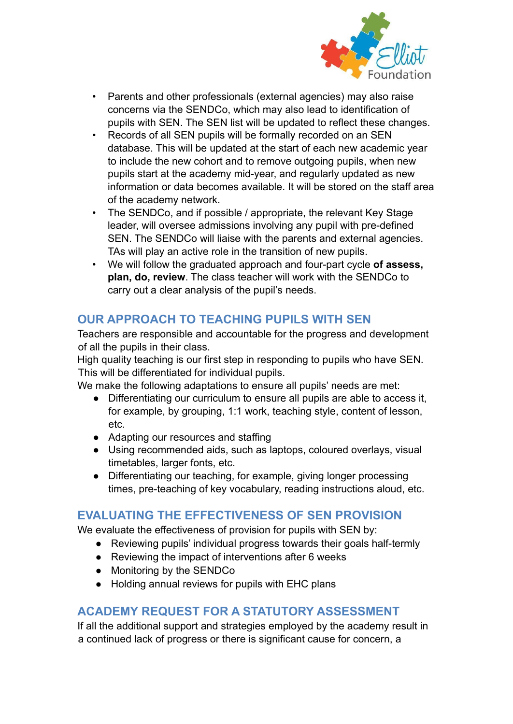

- Parents and other professionals (external agencies) may also raise concerns via the SENDCo, which may also lead to identification of pupils with SEN. The SEN list will be updated to reflect these changes.
- Records of all SEN pupils will be formally recorded on an SEN database. This will be updated at the start of each new academic year to include the new cohort and to remove outgoing pupils, when new pupils start at the academy mid-year, and regularly updated as new information or data becomes available. It will be stored on the staff area of the academy network.
- The SENDCo, and if possible / appropriate, the relevant Key Stage leader, will oversee admissions involving any pupil with pre-defined SEN. The SENDCo will liaise with the parents and external agencies. TAs will play an active role in the transition of new pupils.
- We will follow the graduated approach and four-part cycle **of assess, plan, do, review**. The class teacher will work with the SENDCo to carry out a clear analysis of the pupil's needs.

## **OUR APPROACH TO TEACHING PUPILS WITH SEN**

Teachers are responsible and accountable for the progress and development of all the pupils in their class.

High quality teaching is our first step in responding to pupils who have SEN. This will be differentiated for individual pupils.

We make the following adaptations to ensure all pupils' needs are met:

- Differentiating our curriculum to ensure all pupils are able to access it, for example, by grouping, 1:1 work, teaching style, content of lesson, etc.
- Adapting our resources and staffing
- Using recommended aids, such as laptops, coloured overlays, visual timetables, larger fonts, etc.
- Differentiating our teaching, for example, giving longer processing times, pre-teaching of key vocabulary, reading instructions aloud, etc.

## **EVALUATING THE EFFECTIVENESS OF SEN PROVISION**

We evaluate the effectiveness of provision for pupils with SEN by:

- Reviewing pupils' individual progress towards their goals half-termly
- Reviewing the impact of interventions after 6 weeks
- Monitoring by the SENDCo
- Holding annual reviews for pupils with EHC plans

## **ACADEMY REQUEST FOR A STATUTORY ASSESSMENT**

If all the additional support and strategies employed by the academy result in a continued lack of progress or there is significant cause for concern, a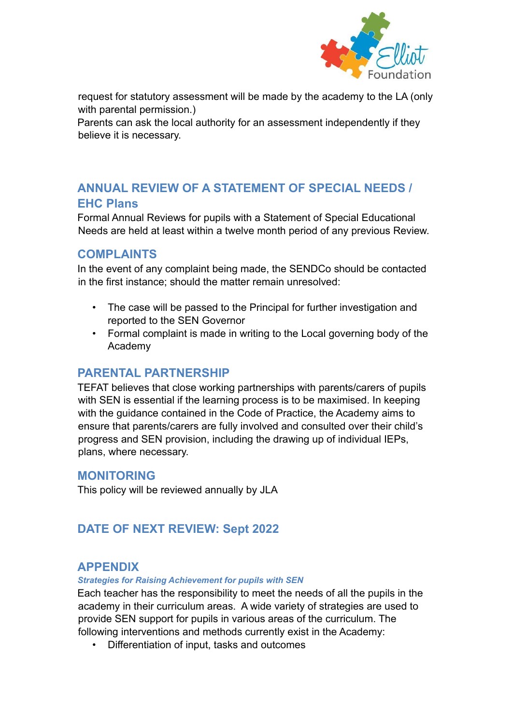

request for statutory assessment will be made by the academy to the LA (only with parental permission.)

Parents can ask the local authority for an assessment independently if they believe it is necessary.

# **ANNUAL REVIEW OF A STATEMENT OF SPECIAL NEEDS / EHC Plans**

Formal Annual Reviews for pupils with a Statement of Special Educational Needs are held at least within a twelve month period of any previous Review.

#### **COMPLAINTS**

In the event of any complaint being made, the SENDCo should be contacted in the first instance; should the matter remain unresolved:

- The case will be passed to the Principal for further investigation and reported to the SEN Governor
- Formal complaint is made in writing to the Local governing body of the Academy

### **PARENTAL PARTNERSHIP**

TEFAT believes that close working partnerships with parents/carers of pupils with SEN is essential if the learning process is to be maximised. In keeping with the guidance contained in the Code of Practice, the Academy aims to ensure that parents/carers are fully involved and consulted over their child's progress and SEN provision, including the drawing up of individual IEPs, plans, where necessary.

#### **MONITORING**

This policy will be reviewed annually by JLA

## **DATE OF NEXT REVIEW: Sept 2022**

#### **APPENDIX**

*Strategies for Raising Achievement for pupils with SEN*

Each teacher has the responsibility to meet the needs of all the pupils in the academy in their curriculum areas. A wide variety of strategies are used to provide SEN support for pupils in various areas of the curriculum. The following interventions and methods currently exist in the Academy:

• Differentiation of input, tasks and outcomes